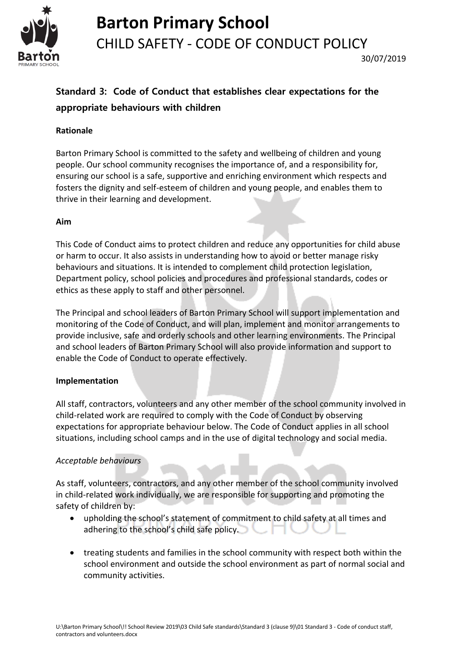

# **Barton Primary School** CHILD SAFETY - CODE OF CONDUCT POLICY

# **Standard 3: Code of Conduct that establishes clear expectations for the appropriate behaviours with children**

### **Rationale**

Barton Primary School is committed to the safety and wellbeing of children and young people. Our school community recognises the importance of, and a responsibility for, ensuring our school is a safe, supportive and enriching environment which respects and fosters the dignity and self-esteem of children and young people, and enables them to thrive in their learning and development.

### **Aim**

This Code of Conduct aims to protect children and reduce any opportunities for child abuse or harm to occur. It also assists in understanding how to avoid or better manage risky behaviours and situations. It is intended to complement child protection legislation, Department policy, school policies and procedures and professional standards, codes or ethics as these apply to staff and other personnel.

The Principal and school leaders of Barton Primary School will support implementation and monitoring of the Code of Conduct, and will plan, implement and monitor arrangements to provide inclusive, safe and orderly schools and other learning environments. The Principal and school leaders of Barton Primary School will also provide information and support to enable the Code of Conduct to operate effectively.

# **Implementation**

All staff, contractors, volunteers and any other member of the school community involved in child-related work are required to comply with the Code of Conduct by observing expectations for appropriate behaviour below. The Code of Conduct applies in all school situations, including school camps and in the use of digital technology and social media.

# *Acceptable behaviours*

As staff, volunteers, contractors, and any other member of the school community involved in child-related work individually, we are responsible for supporting and promoting the safety of children by:

- upholding the school's statement of commitment to child safety at all times and adhering to the school's child safe policy. - T
- treating students and families in the school community with respect both within the school environment and outside the school environment as part of normal social and community activities.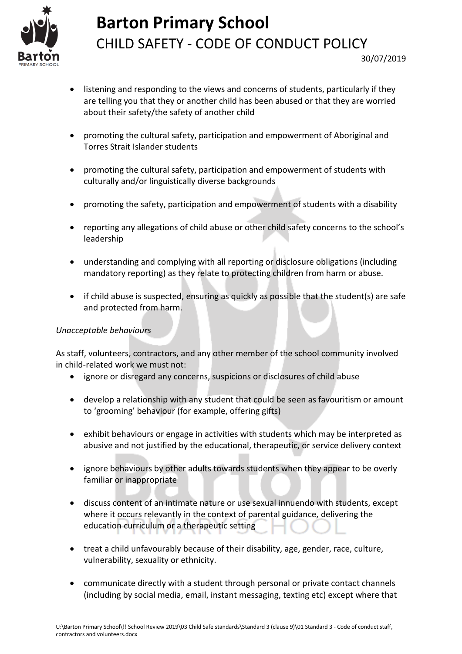

# **Barton Primary School** CHILD SAFETY - CODE OF CONDUCT POLICY

- listening and responding to the views and concerns of students, particularly if they are telling you that they or another child has been abused or that they are worried about their safety/the safety of another child
- promoting the cultural safety, participation and empowerment of Aboriginal and Torres Strait Islander students
- promoting the cultural safety, participation and empowerment of students with culturally and/or linguistically diverse backgrounds
- promoting the safety, participation and empowerment of students with a disability
- reporting any allegations of child abuse or other child safety concerns to the school's leadership
- understanding and complying with all reporting or disclosure obligations (including mandatory reporting) as they relate to protecting children from harm or abuse.
- if child abuse is suspected, ensuring as quickly as possible that the student(s) are safe and protected from harm.

## *Unacceptable behaviours*

As staff, volunteers, contractors, and any other member of the school community involved in child-related work we must not:

- ignore or disregard any concerns, suspicions or disclosures of child abuse
- develop a relationship with any student that could be seen as favouritism or amount to 'grooming' behaviour (for example, offering gifts)
- exhibit behaviours or engage in activities with students which may be interpreted as abusive and not justified by the educational, therapeutic, or service delivery context
- ignore behaviours by other adults towards students when they appear to be overly familiar or inappropriate
- discuss content of an intimate nature or use sexual innuendo with students, except where it occurs relevantly in the context of parental guidance, delivering the education curriculum or a therapeutic setting
- treat a child unfavourably because of their disability, age, gender, race, culture, vulnerability, sexuality or ethnicity.
- communicate directly with a student through personal or private contact channels (including by social media, email, instant messaging, texting etc) except where that